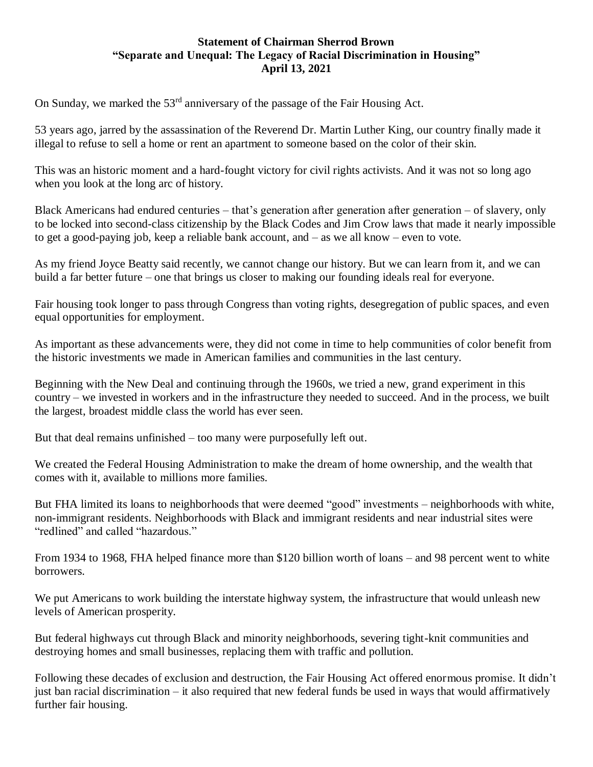## **Statement of Chairman Sherrod Brown "Separate and Unequal: The Legacy of Racial Discrimination in Housing" April 13, 2021**

On Sunday, we marked the 53<sup>rd</sup> anniversary of the passage of the Fair Housing Act.

53 years ago, jarred by the assassination of the Reverend Dr. Martin Luther King, our country finally made it illegal to refuse to sell a home or rent an apartment to someone based on the color of their skin.

This was an historic moment and a hard-fought victory for civil rights activists. And it was not so long ago when you look at the long arc of history.

Black Americans had endured centuries – that's generation after generation after generation – of slavery, only to be locked into second-class citizenship by the Black Codes and Jim Crow laws that made it nearly impossible to get a good-paying job, keep a reliable bank account, and – as we all know – even to vote.

As my friend Joyce Beatty said recently, we cannot change our history. But we can learn from it, and we can build a far better future – one that brings us closer to making our founding ideals real for everyone.

Fair housing took longer to pass through Congress than voting rights, desegregation of public spaces, and even equal opportunities for employment.

As important as these advancements were, they did not come in time to help communities of color benefit from the historic investments we made in American families and communities in the last century.

Beginning with the New Deal and continuing through the 1960s, we tried a new, grand experiment in this country – we invested in workers and in the infrastructure they needed to succeed. And in the process, we built the largest, broadest middle class the world has ever seen.

But that deal remains unfinished – too many were purposefully left out.

We created the Federal Housing Administration to make the dream of home ownership, and the wealth that comes with it, available to millions more families.

But FHA limited its loans to neighborhoods that were deemed "good" investments – neighborhoods with white, non-immigrant residents. Neighborhoods with Black and immigrant residents and near industrial sites were "redlined" and called "hazardous."

From 1934 to 1968, FHA helped finance more than \$120 billion worth of loans – and 98 percent went to white borrowers.

We put Americans to work building the interstate highway system, the infrastructure that would unleash new levels of American prosperity.

But federal highways cut through Black and minority neighborhoods, severing tight-knit communities and destroying homes and small businesses, replacing them with traffic and pollution.

Following these decades of exclusion and destruction, the Fair Housing Act offered enormous promise. It didn't just ban racial discrimination – it also required that new federal funds be used in ways that would affirmatively further fair housing.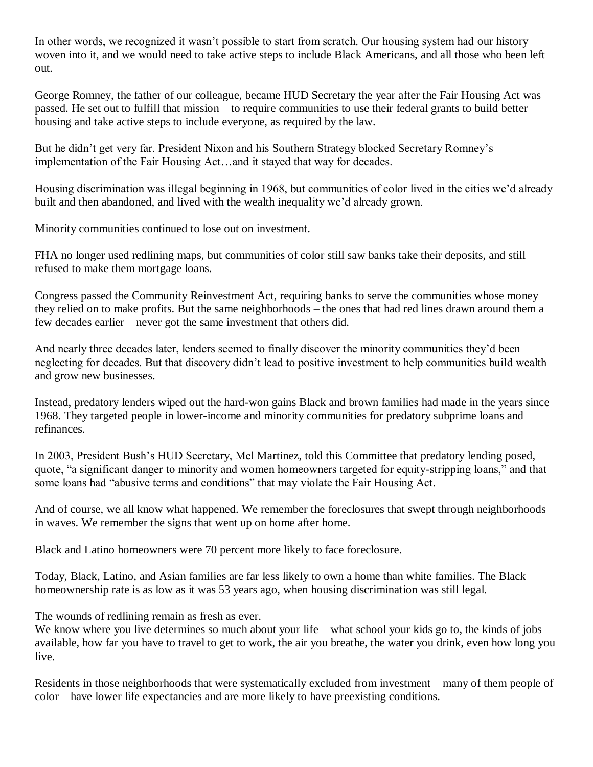In other words, we recognized it wasn't possible to start from scratch. Our housing system had our history woven into it, and we would need to take active steps to include Black Americans, and all those who been left out.

George Romney, the father of our colleague, became HUD Secretary the year after the Fair Housing Act was passed. He set out to fulfill that mission – to require communities to use their federal grants to build better housing and take active steps to include everyone, as required by the law.

But he didn't get very far. President Nixon and his Southern Strategy blocked Secretary Romney's implementation of the Fair Housing Act…and it stayed that way for decades.

Housing discrimination was illegal beginning in 1968, but communities of color lived in the cities we'd already built and then abandoned, and lived with the wealth inequality we'd already grown.

Minority communities continued to lose out on investment.

FHA no longer used redlining maps, but communities of color still saw banks take their deposits, and still refused to make them mortgage loans.

Congress passed the Community Reinvestment Act, requiring banks to serve the communities whose money they relied on to make profits. But the same neighborhoods – the ones that had red lines drawn around them a few decades earlier – never got the same investment that others did.

And nearly three decades later, lenders seemed to finally discover the minority communities they'd been neglecting for decades. But that discovery didn't lead to positive investment to help communities build wealth and grow new businesses.

Instead, predatory lenders wiped out the hard-won gains Black and brown families had made in the years since 1968. They targeted people in lower-income and minority communities for predatory subprime loans and refinances.

In 2003, President Bush's HUD Secretary, Mel Martinez, told this Committee that predatory lending posed, quote, "a significant danger to minority and women homeowners targeted for equity-stripping loans," and that some loans had "abusive terms and conditions" that may violate the Fair Housing Act.

And of course, we all know what happened. We remember the foreclosures that swept through neighborhoods in waves. We remember the signs that went up on home after home.

Black and Latino homeowners were 70 percent more likely to face foreclosure.

Today, Black, Latino, and Asian families are far less likely to own a home than white families. The Black homeownership rate is as low as it was 53 years ago, when housing discrimination was still legal.

The wounds of redlining remain as fresh as ever.

We know where you live determines so much about your life – what school your kids go to, the kinds of jobs available, how far you have to travel to get to work, the air you breathe, the water you drink, even how long you live.

Residents in those neighborhoods that were systematically excluded from investment – many of them people of color – have lower life expectancies and are more likely to have preexisting conditions.